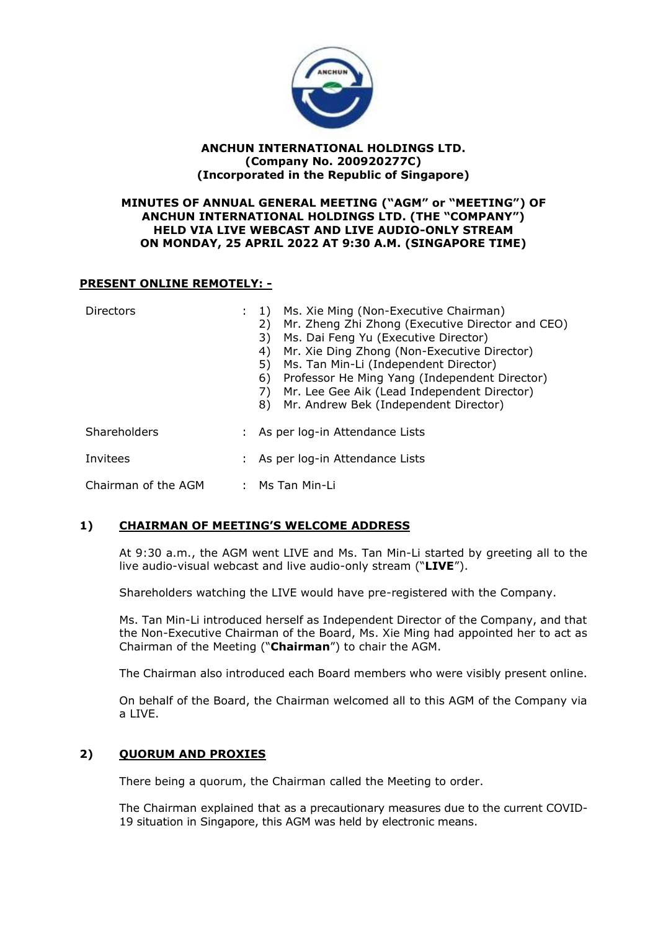

## **ANCHUN INTERNATIONAL HOLDINGS LTD. (Company No. 200920277C) (Incorporated in the Republic of Singapore)**

## **MINUTES OF ANNUAL GENERAL MEETING ("AGM" or "MEETING") OF ANCHUN INTERNATIONAL HOLDINGS LTD. (THE "COMPANY") HELD VIA LIVE WEBCAST AND LIVE AUDIO-ONLY STREAM ON MONDAY, 25 APRIL 2022 AT 9:30 A.M. (SINGAPORE TIME)**

## **PRESENT ONLINE REMOTELY: -**

| <b>Directors</b>    | Ms. Xie Ming (Non-Executive Chairman)<br><sup>1</sup><br>Mr. Zheng Zhi Zhong (Executive Director and CEO)<br>2)<br>Ms. Dai Feng Yu (Executive Director)<br>3)<br>Mr. Xie Ding Zhong (Non-Executive Director)<br>4)<br>Ms. Tan Min-Li (Independent Director)<br>5)<br>Professor He Ming Yang (Independent Director)<br>6)<br>Mr. Lee Gee Aik (Lead Independent Director)<br>7)<br>Mr. Andrew Bek (Independent Director)<br>8) |
|---------------------|------------------------------------------------------------------------------------------------------------------------------------------------------------------------------------------------------------------------------------------------------------------------------------------------------------------------------------------------------------------------------------------------------------------------------|
| Shareholders        | As per log-in Attendance Lists                                                                                                                                                                                                                                                                                                                                                                                               |
| Invitees            | : As per log-in Attendance Lists                                                                                                                                                                                                                                                                                                                                                                                             |
| Chairman of the AGM | : Ms Tan Min-Li                                                                                                                                                                                                                                                                                                                                                                                                              |

# **1) CHAIRMAN OF MEETING'S WELCOME ADDRESS**

At 9:30 a.m., the AGM went LIVE and Ms. Tan Min-Li started by greeting all to the live audio-visual webcast and live audio-only stream ("**LIVE**").

Shareholders watching the LIVE would have pre-registered with the Company.

Ms. Tan Min-Li introduced herself as Independent Director of the Company, and that the Non-Executive Chairman of the Board, Ms. Xie Ming had appointed her to act as Chairman of the Meeting ("**Chairman**") to chair the AGM.

The Chairman also introduced each Board members who were visibly present online.

On behalf of the Board, the Chairman welcomed all to this AGM of the Company via a LIVE.

# **2) QUORUM AND PROXIES**

There being a quorum, the Chairman called the Meeting to order.

The Chairman explained that as a precautionary measures due to the current COVID-19 situation in Singapore, this AGM was held by electronic means.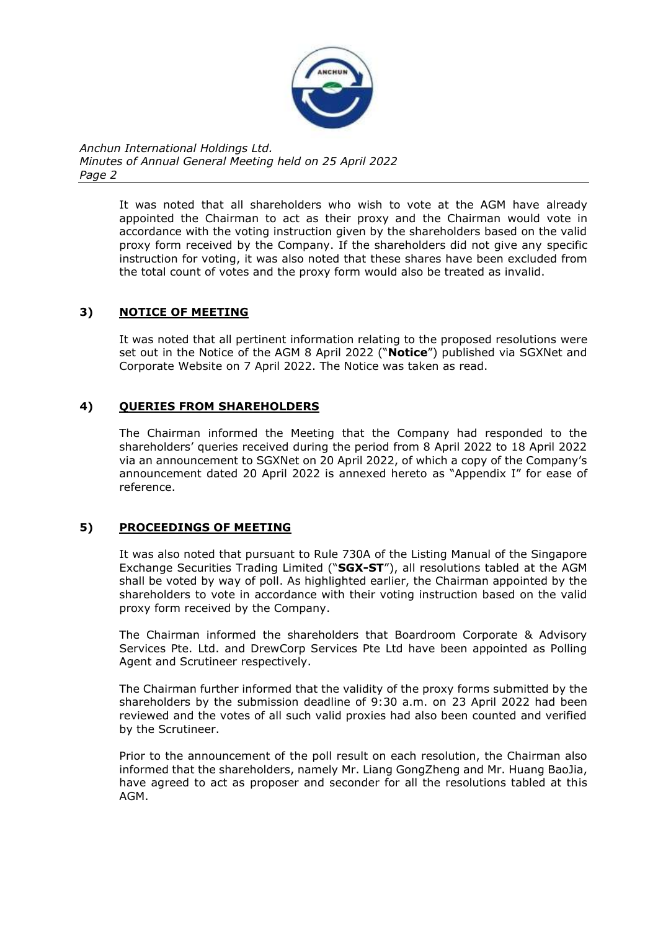

> It was noted that all shareholders who wish to vote at the AGM have already appointed the Chairman to act as their proxy and the Chairman would vote in accordance with the voting instruction given by the shareholders based on the valid proxy form received by the Company. If the shareholders did not give any specific instruction for voting, it was also noted that these shares have been excluded from the total count of votes and the proxy form would also be treated as invalid.

# **3) NOTICE OF MEETING**

It was noted that all pertinent information relating to the proposed resolutions were set out in the Notice of the AGM 8 April 2022 ("**Notice**") published via SGXNet and Corporate Website on 7 April 2022. The Notice was taken as read.

# **4) QUERIES FROM SHAREHOLDERS**

The Chairman informed the Meeting that the Company had responded to the shareholders' queries received during the period from 8 April 2022 to 18 April 2022 via an announcement to SGXNet on 20 April 2022, of which a copy of the Company's announcement dated 20 April 2022 is annexed hereto as "Appendix I" for ease of reference.

# **5) PROCEEDINGS OF MEETING**

It was also noted that pursuant to Rule 730A of the Listing Manual of the Singapore Exchange Securities Trading Limited ("**SGX-ST**"), all resolutions tabled at the AGM shall be voted by way of poll. As highlighted earlier, the Chairman appointed by the shareholders to vote in accordance with their voting instruction based on the valid proxy form received by the Company.

The Chairman informed the shareholders that Boardroom Corporate & Advisory Services Pte. Ltd. and DrewCorp Services Pte Ltd have been appointed as Polling Agent and Scrutineer respectively.

The Chairman further informed that the validity of the proxy forms submitted by the shareholders by the submission deadline of 9:30 a.m. on 23 April 2022 had been reviewed and the votes of all such valid proxies had also been counted and verified by the Scrutineer.

Prior to the announcement of the poll result on each resolution, the Chairman also informed that the shareholders, namely Mr. Liang GongZheng and Mr. Huang BaoJia, have agreed to act as proposer and seconder for all the resolutions tabled at this AGM.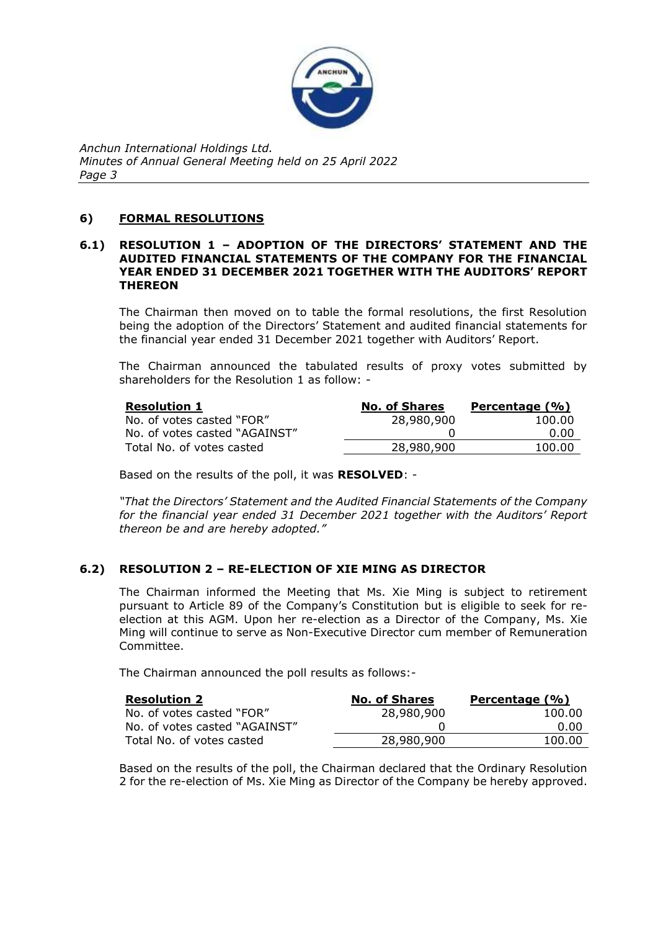

# **6) FORMAL RESOLUTIONS**

### **6.1) RESOLUTION 1 – ADOPTION OF THE DIRECTORS' STATEMENT AND THE AUDITED FINANCIAL STATEMENTS OF THE COMPANY FOR THE FINANCIAL YEAR ENDED 31 DECEMBER 2021 TOGETHER WITH THE AUDITORS' REPORT THEREON**

The Chairman then moved on to table the formal resolutions, the first Resolution being the adoption of the Directors' Statement and audited financial statements for the financial year ended 31 December 2021 together with Auditors' Report.

The Chairman announced the tabulated results of proxy votes submitted by shareholders for the Resolution 1 as follow: -

| <b>Resolution 1</b>           | <b>No. of Shares</b> | Percentage (%) |
|-------------------------------|----------------------|----------------|
| No. of votes casted "FOR"     | 28,980,900           | 100.00         |
| No. of votes casted "AGAINST" |                      | 0.00           |
| Total No. of votes casted     | 28,980,900           | 100.00         |

Based on the results of the poll, it was **RESOLVED**: -

*"That the Directors' Statement and the Audited Financial Statements of the Company for the financial year ended 31 December 2021 together with the Auditors' Report thereon be and are hereby adopted."*

# **6.2) RESOLUTION 2 – RE-ELECTION OF XIE MING AS DIRECTOR**

The Chairman informed the Meeting that Ms. Xie Ming is subject to retirement pursuant to Article 89 of the Company's Constitution but is eligible to seek for reelection at this AGM. Upon her re-election as a Director of the Company, Ms. Xie Ming will continue to serve as Non-Executive Director cum member of Remuneration Committee.

The Chairman announced the poll results as follows:-

| <b>Resolution 2</b>           | <b>No. of Shares</b> | Percentage (%) |
|-------------------------------|----------------------|----------------|
| No. of votes casted "FOR"     | 28,980,900           | 100.00         |
| No. of votes casted "AGAINST" |                      | 0.00           |
| Total No. of votes casted     | 28,980,900           | 100.00         |

Based on the results of the poll, the Chairman declared that the Ordinary Resolution 2 for the re-election of Ms. Xie Ming as Director of the Company be hereby approved.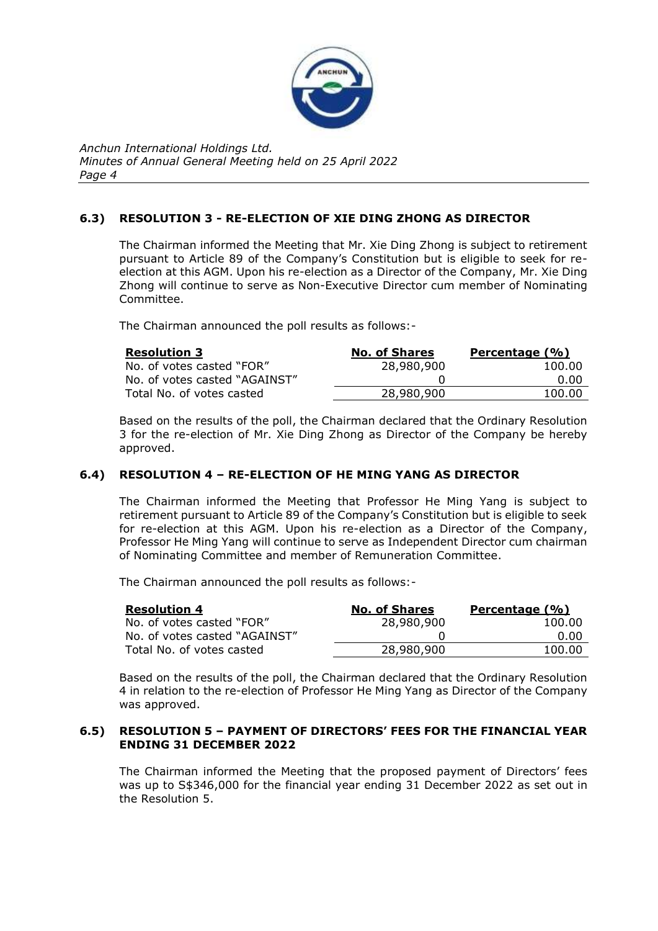

# **6.3) RESOLUTION 3 - RE-ELECTION OF XIE DING ZHONG AS DIRECTOR**

The Chairman informed the Meeting that Mr. Xie Ding Zhong is subject to retirement pursuant to Article 89 of the Company's Constitution but is eligible to seek for reelection at this AGM. Upon his re-election as a Director of the Company, Mr. Xie Ding Zhong will continue to serve as Non-Executive Director cum member of Nominating Committee.

The Chairman announced the poll results as follows:-

| <b>Resolution 3</b>           | <b>No. of Shares</b> | Percentage (%) |
|-------------------------------|----------------------|----------------|
| No. of votes casted "FOR"     | 28,980,900           | 100.00         |
| No. of votes casted "AGAINST" |                      | 0.00           |
| Total No. of votes casted     | 28,980,900           | 100.00         |

Based on the results of the poll, the Chairman declared that the Ordinary Resolution 3 for the re-election of Mr. Xie Ding Zhong as Director of the Company be hereby approved.

# **6.4) RESOLUTION 4 – RE-ELECTION OF HE MING YANG AS DIRECTOR**

The Chairman informed the Meeting that Professor He Ming Yang is subject to retirement pursuant to Article 89 of the Company's Constitution but is eligible to seek for re-election at this AGM. Upon his re-election as a Director of the Company, Professor He Ming Yang will continue to serve as Independent Director cum chairman of Nominating Committee and member of Remuneration Committee.

The Chairman announced the poll results as follows:-

| <b>Resolution 4</b>           | <b>No. of Shares</b> | Percentage (%) |
|-------------------------------|----------------------|----------------|
| No. of votes casted "FOR"     | 28,980,900           | 100.00         |
| No. of votes casted "AGAINST" |                      | 0.00           |
| Total No. of votes casted     | 28,980,900           | 100.00         |

Based on the results of the poll, the Chairman declared that the Ordinary Resolution 4 in relation to the re-election of Professor He Ming Yang as Director of the Company was approved.

## **6.5) RESOLUTION 5 – PAYMENT OF DIRECTORS' FEES FOR THE FINANCIAL YEAR ENDING 31 DECEMBER 2022**

The Chairman informed the Meeting that the proposed payment of Directors' fees was up to S\$346,000 for the financial year ending 31 December 2022 as set out in the Resolution 5.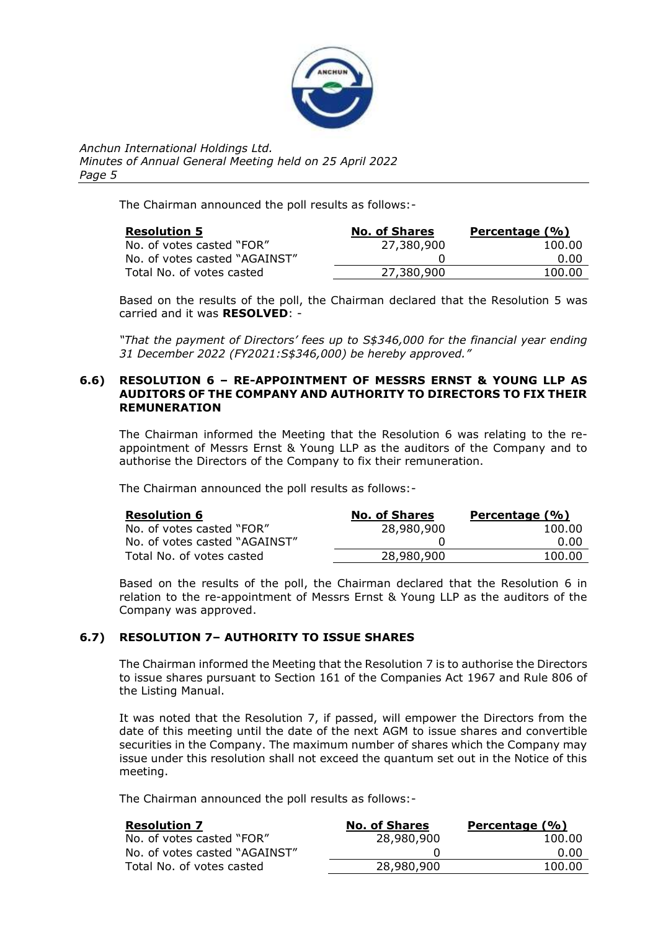

The Chairman announced the poll results as follows:-

| <b>Resolution 5</b>           | <b>No. of Shares</b> | Percentage (%) |
|-------------------------------|----------------------|----------------|
| No. of votes casted "FOR"     | 27,380,900           | 100.00         |
| No. of votes casted "AGAINST" |                      | 0.00           |
| Total No. of votes casted     | 27,380,900           | 100.00         |

Based on the results of the poll, the Chairman declared that the Resolution 5 was carried and it was **RESOLVED**: -

*"That the payment of Directors' fees up to S\$346,000 for the financial year ending 31 December 2022 (FY2021:S\$346,000) be hereby approved."*

## **6.6) RESOLUTION 6 – RE-APPOINTMENT OF MESSRS ERNST & YOUNG LLP AS AUDITORS OF THE COMPANY AND AUTHORITY TO DIRECTORS TO FIX THEIR REMUNERATION**

The Chairman informed the Meeting that the Resolution 6 was relating to the reappointment of Messrs Ernst & Young LLP as the auditors of the Company and to authorise the Directors of the Company to fix their remuneration.

The Chairman announced the poll results as follows:-

| <b>Resolution 6</b>           | <b>No. of Shares</b> | Percentage (%) |
|-------------------------------|----------------------|----------------|
| No. of votes casted "FOR"     | 28,980,900           | 100.00         |
| No. of votes casted "AGAINST" |                      | 0.00           |
| Total No. of votes casted     | 28,980,900           | 100.00         |

Based on the results of the poll, the Chairman declared that the Resolution 6 in relation to the re-appointment of Messrs Ernst & Young LLP as the auditors of the Company was approved.

# **6.7) RESOLUTION 7– AUTHORITY TO ISSUE SHARES**

The Chairman informed the Meeting that the Resolution 7 is to authorise the Directors to issue shares pursuant to Section 161 of the Companies Act 1967 and Rule 806 of the Listing Manual.

It was noted that the Resolution 7, if passed, will empower the Directors from the date of this meeting until the date of the next AGM to issue shares and convertible securities in the Company. The maximum number of shares which the Company may issue under this resolution shall not exceed the quantum set out in the Notice of this meeting.

The Chairman announced the poll results as follows:-

| <b>Resolution 7</b>           | <b>No. of Shares</b> | Percentage (%) |
|-------------------------------|----------------------|----------------|
| No. of votes casted "FOR"     | 28,980,900           | 100.00         |
| No. of votes casted "AGAINST" |                      | 0.00           |
| Total No. of votes casted     | 28,980,900           | 100.00         |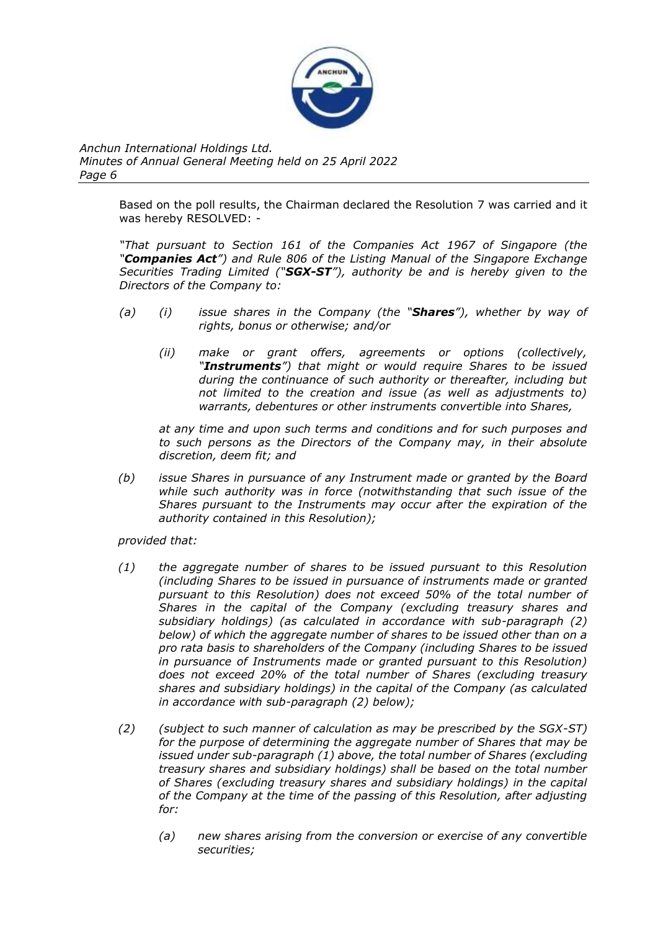

> Based on the poll results, the Chairman declared the Resolution 7 was carried and it was hereby RESOLVED: -

> *"That pursuant to Section 161 of the Companies Act 1967 of Singapore (the "Companies Act") and Rule 806 of the Listing Manual of the Singapore Exchange Securities Trading Limited ("SGX-ST"), authority be and is hereby given to the Directors of the Company to:*

- *(a) (i) issue shares in the Company (the "Shares"), whether by way of rights, bonus or otherwise; and/or*
	- *(ii) make or grant offers, agreements or options (collectively, "Instruments") that might or would require Shares to be issued during the continuance of such authority or thereafter, including but not limited to the creation and issue (as well as adjustments to) warrants, debentures or other instruments convertible into Shares,*

*at any time and upon such terms and conditions and for such purposes and to such persons as the Directors of the Company may, in their absolute discretion, deem fit; and*

*(b) issue Shares in pursuance of any Instrument made or granted by the Board while such authority was in force (notwithstanding that such issue of the Shares pursuant to the Instruments may occur after the expiration of the authority contained in this Resolution);*

*provided that:*

- *(1) the aggregate number of shares to be issued pursuant to this Resolution (including Shares to be issued in pursuance of instruments made or granted pursuant to this Resolution) does not exceed 50% of the total number of Shares in the capital of the Company (excluding treasury shares and subsidiary holdings) (as calculated in accordance with sub-paragraph (2) below) of which the aggregate number of shares to be issued other than on a pro rata basis to shareholders of the Company (including Shares to be issued in pursuance of Instruments made or granted pursuant to this Resolution) does not exceed 20% of the total number of Shares (excluding treasury shares and subsidiary holdings) in the capital of the Company (as calculated in accordance with sub-paragraph (2) below);*
- *(2) (subject to such manner of calculation as may be prescribed by the SGX-ST) for the purpose of determining the aggregate number of Shares that may be issued under sub-paragraph (1) above, the total number of Shares (excluding treasury shares and subsidiary holdings) shall be based on the total number of Shares (excluding treasury shares and subsidiary holdings) in the capital of the Company at the time of the passing of this Resolution, after adjusting for:* 
	- *(a) new shares arising from the conversion or exercise of any convertible securities;*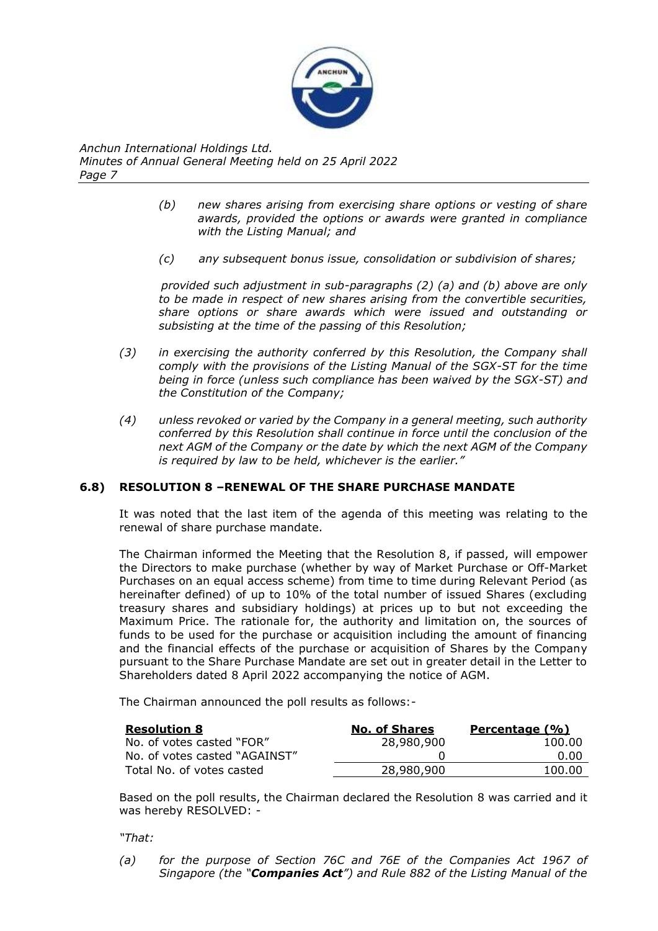

- *(b) new shares arising from exercising share options or vesting of share awards, provided the options or awards were granted in compliance with the Listing Manual; and*
- *(c) any subsequent bonus issue, consolidation or subdivision of shares;*

*provided such adjustment in sub-paragraphs (2) (a) and (b) above are only to be made in respect of new shares arising from the convertible securities, share options or share awards which were issued and outstanding or subsisting at the time of the passing of this Resolution;* 

- *(3) in exercising the authority conferred by this Resolution, the Company shall comply with the provisions of the Listing Manual of the SGX-ST for the time being in force (unless such compliance has been waived by the SGX-ST) and the Constitution of the Company;*
- *(4) unless revoked or varied by the Company in a general meeting, such authority conferred by this Resolution shall continue in force until the conclusion of the next AGM of the Company or the date by which the next AGM of the Company is required by law to be held, whichever is the earlier."*

# **6.8) RESOLUTION 8 –RENEWAL OF THE SHARE PURCHASE MANDATE**

It was noted that the last item of the agenda of this meeting was relating to the renewal of share purchase mandate.

The Chairman informed the Meeting that the Resolution 8, if passed, will empower the Directors to make purchase (whether by way of Market Purchase or Off-Market Purchases on an equal access scheme) from time to time during Relevant Period (as hereinafter defined) of up to 10% of the total number of issued Shares (excluding treasury shares and subsidiary holdings) at prices up to but not exceeding the Maximum Price. The rationale for, the authority and limitation on, the sources of funds to be used for the purchase or acquisition including the amount of financing and the financial effects of the purchase or acquisition of Shares by the Company pursuant to the Share Purchase Mandate are set out in greater detail in the Letter to Shareholders dated 8 April 2022 accompanying the notice of AGM.

The Chairman announced the poll results as follows:-

| <b>Resolution 8</b>           | <b>No. of Shares</b> | Percentage (%) |
|-------------------------------|----------------------|----------------|
| No. of votes casted "FOR"     | 28,980,900           | 100.00         |
| No. of votes casted "AGAINST" |                      | 0.00           |
| Total No. of votes casted     | 28,980,900           | 100.00         |

Based on the poll results, the Chairman declared the Resolution 8 was carried and it was hereby RESOLVED: -

*"That:* 

*(a) for the purpose of Section 76C and 76E of the Companies Act 1967 of Singapore (the "Companies Act") and Rule 882 of the Listing Manual of the*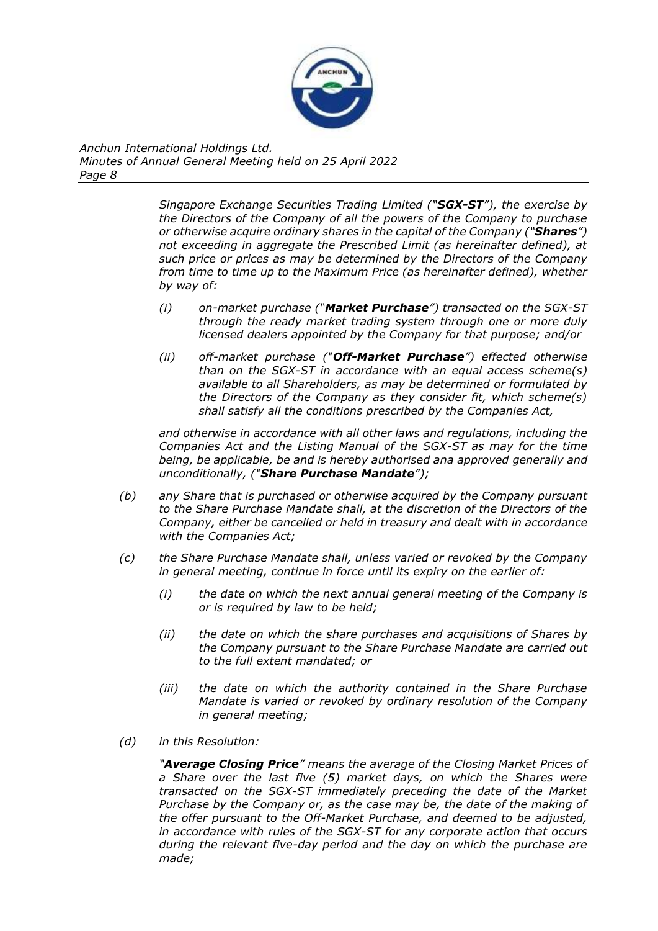

> *Singapore Exchange Securities Trading Limited ("SGX-ST"), the exercise by the Directors of the Company of all the powers of the Company to purchase or otherwise acquire ordinary shares in the capital of the Company ("Shares") not exceeding in aggregate the Prescribed Limit (as hereinafter defined), at such price or prices as may be determined by the Directors of the Company from time to time up to the Maximum Price (as hereinafter defined), whether by way of:*

- *(i) on-market purchase ("Market Purchase") transacted on the SGX-ST through the ready market trading system through one or more duly licensed dealers appointed by the Company for that purpose; and/or*
- *(ii) off-market purchase ("Off-Market Purchase") effected otherwise than on the SGX-ST in accordance with an equal access scheme(s) available to all Shareholders, as may be determined or formulated by the Directors of the Company as they consider fit, which scheme(s) shall satisfy all the conditions prescribed by the Companies Act,*

*and otherwise in accordance with all other laws and regulations, including the Companies Act and the Listing Manual of the SGX-ST as may for the time being, be applicable, be and is hereby authorised ana approved generally and unconditionally, ("Share Purchase Mandate");*

- *(b) any Share that is purchased or otherwise acquired by the Company pursuant to the Share Purchase Mandate shall, at the discretion of the Directors of the Company, either be cancelled or held in treasury and dealt with in accordance with the Companies Act;*
- *(c) the Share Purchase Mandate shall, unless varied or revoked by the Company in general meeting, continue in force until its expiry on the earlier of:* 
	- *(i) the date on which the next annual general meeting of the Company is or is required by law to be held;*
	- *(ii) the date on which the share purchases and acquisitions of Shares by the Company pursuant to the Share Purchase Mandate are carried out to the full extent mandated; or*
	- *(iii) the date on which the authority contained in the Share Purchase Mandate is varied or revoked by ordinary resolution of the Company in general meeting;*
- *(d) in this Resolution:*

*"Average Closing Price" means the average of the Closing Market Prices of a Share over the last five (5) market days, on which the Shares were transacted on the SGX-ST immediately preceding the date of the Market Purchase by the Company or, as the case may be, the date of the making of the offer pursuant to the Off-Market Purchase, and deemed to be adjusted, in accordance with rules of the SGX-ST for any corporate action that occurs during the relevant five-day period and the day on which the purchase are made;*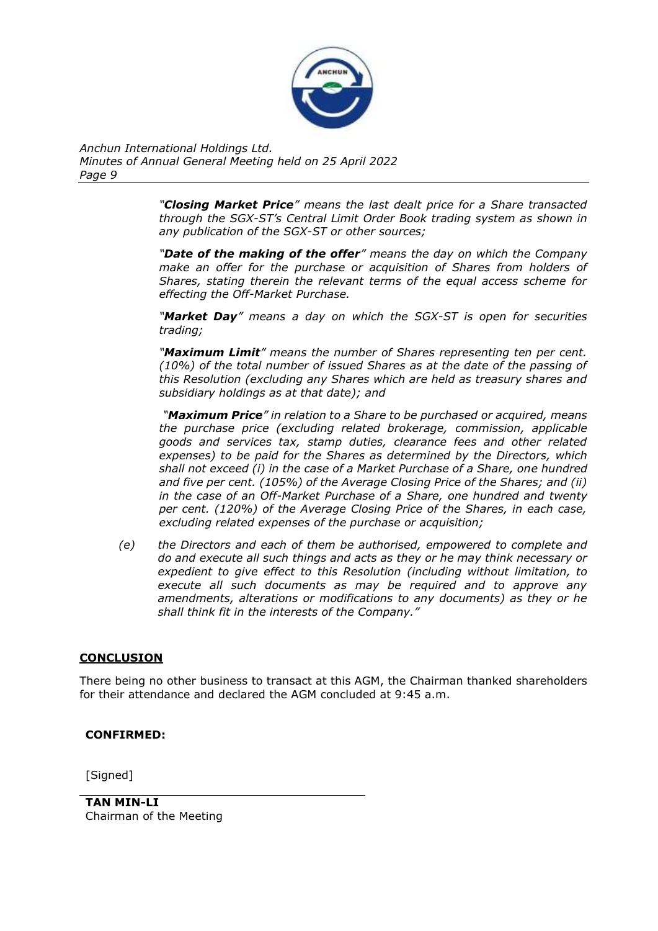

> *"Closing Market Price" means the last dealt price for a Share transacted through the SGX-ST's Central Limit Order Book trading system as shown in any publication of the SGX-ST or other sources;*

> *"Date of the making of the offer" means the day on which the Company make an offer for the purchase or acquisition of Shares from holders of Shares, stating therein the relevant terms of the equal access scheme for effecting the Off-Market Purchase.*

> *"Market Day" means a day on which the SGX-ST is open for securities trading;*

> *"Maximum Limit" means the number of Shares representing ten per cent. (10%) of the total number of issued Shares as at the date of the passing of this Resolution (excluding any Shares which are held as treasury shares and subsidiary holdings as at that date); and*

> *"Maximum Price" in relation to a Share to be purchased or acquired, means the purchase price (excluding related brokerage, commission, applicable goods and services tax, stamp duties, clearance fees and other related expenses) to be paid for the Shares as determined by the Directors, which shall not exceed (i) in the case of a Market Purchase of a Share, one hundred and five per cent. (105%) of the Average Closing Price of the Shares; and (ii) in the case of an Off-Market Purchase of a Share, one hundred and twenty per cent. (120%) of the Average Closing Price of the Shares, in each case, excluding related expenses of the purchase or acquisition;*

*(e) the Directors and each of them be authorised, empowered to complete and do and execute all such things and acts as they or he may think necessary or expedient to give effect to this Resolution (including without limitation, to execute all such documents as may be required and to approve any amendments, alterations or modifications to any documents) as they or he shall think fit in the interests of the Company."*

# **CONCLUSION**

There being no other business to transact at this AGM, the Chairman thanked shareholders for their attendance and declared the AGM concluded at 9:45 a.m.

# **CONFIRMED:**

[Signed]

**TAN MIN-LI** Chairman of the Meeting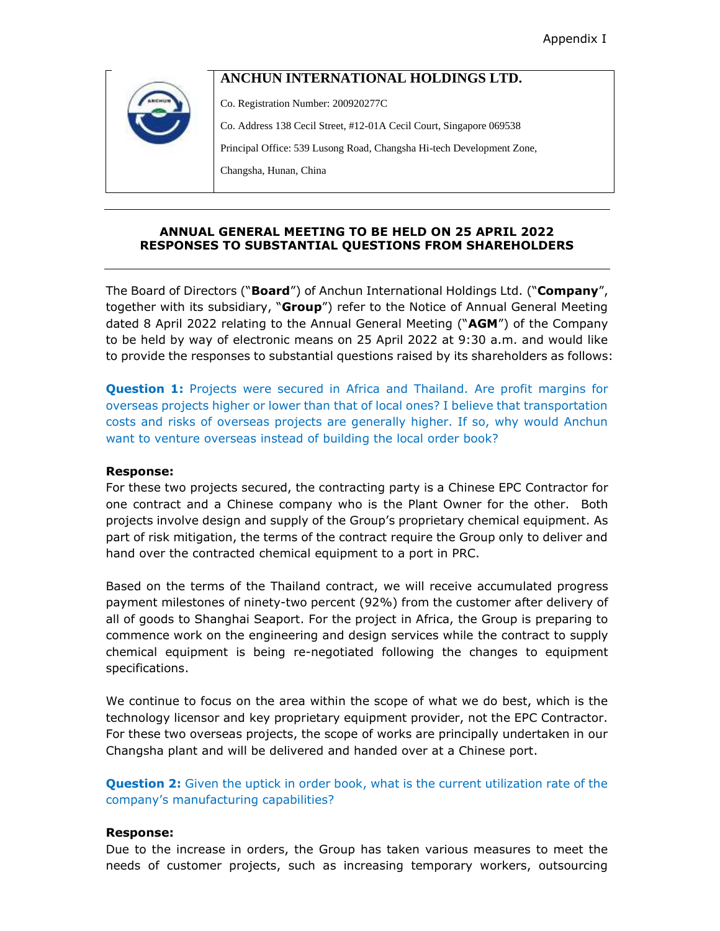# **ANCHUN INTERNATIONAL HOLDINGS LTD.**

Co. Registration Number: 200920277C

Co. Address 138 Cecil Street, #12-01A Cecil Court, Singapore 069538

Principal Office: 539 Lusong Road, Changsha Hi-tech Development Zone,

Changsha, Hunan, China

### **ANNUAL GENERAL MEETING TO BE HELD ON 25 APRIL 2022 RESPONSES TO SUBSTANTIAL QUESTIONS FROM SHAREHOLDERS**

The Board of Directors ("**Board**") of Anchun International Holdings Ltd. ("**Company**", together with its subsidiary, "**Group**") refer to the Notice of Annual General Meeting dated 8 April 2022 relating to the Annual General Meeting ("**AGM**") of the Company to be held by way of electronic means on 25 April 2022 at 9:30 a.m. and would like to provide the responses to substantial questions raised by its shareholders as follows:

**Question 1:** Projects were secured in Africa and Thailand. Are profit margins for overseas projects higher or lower than that of local ones? I believe that transportation costs and risks of overseas projects are generally higher. If so, why would Anchun want to venture overseas instead of building the local order book?

### **Response:**

For these two projects secured, the contracting party is a Chinese EPC Contractor for one contract and a Chinese company who is the Plant Owner for the other. Both projects involve design and supply of the Group's proprietary chemical equipment. As part of risk mitigation, the terms of the contract require the Group only to deliver and hand over the contracted chemical equipment to a port in PRC.

Based on the terms of the Thailand contract, we will receive accumulated progress payment milestones of ninety-two percent (92%) from the customer after delivery of all of goods to Shanghai Seaport. For the project in Africa, the Group is preparing to commence work on the engineering and design services while the contract to supply chemical equipment is being re-negotiated following the changes to equipment specifications.

We continue to focus on the area within the scope of what we do best, which is the technology licensor and key proprietary equipment provider, not the EPC Contractor. For these two overseas projects, the scope of works are principally undertaken in our Changsha plant and will be delivered and handed over at a Chinese port.

**Question 2:** Given the uptick in order book, what is the current utilization rate of the company's manufacturing capabilities?

### **Response:**

Due to the increase in orders, the Group has taken various measures to meet the needs of customer projects, such as increasing temporary workers, outsourcing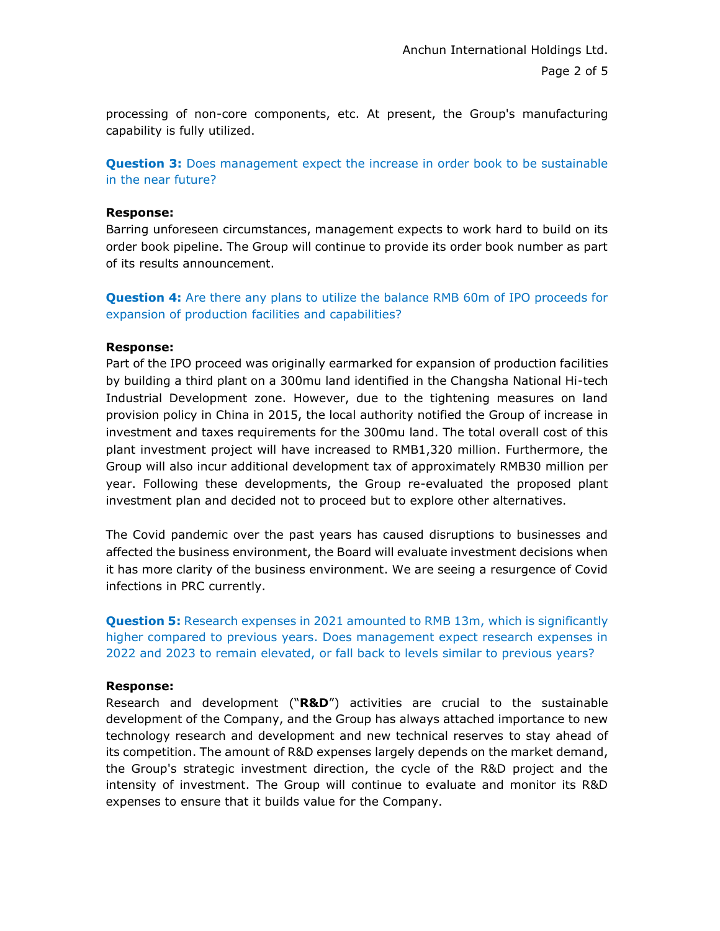processing of non-core components, etc. At present, the Group's manufacturing capability is fully utilized.

**Question 3:** Does management expect the increase in order book to be sustainable in the near future?

### **Response:**

Barring unforeseen circumstances, management expects to work hard to build on its order book pipeline. The Group will continue to provide its order book number as part of its results announcement.

**Question 4:** Are there any plans to utilize the balance RMB 60m of IPO proceeds for expansion of production facilities and capabilities?

#### **Response:**

Part of the IPO proceed was originally earmarked for expansion of production facilities by building a third plant on a 300mu land identified in the Changsha National Hi-tech Industrial Development zone. However, due to the tightening measures on land provision policy in China in 2015, the local authority notified the Group of increase in investment and taxes requirements for the 300mu land. The total overall cost of this plant investment project will have increased to RMB1,320 million. Furthermore, the Group will also incur additional development tax of approximately RMB30 million per year. Following these developments, the Group re-evaluated the proposed plant investment plan and decided not to proceed but to explore other alternatives.

The Covid pandemic over the past years has caused disruptions to businesses and affected the business environment, the Board will evaluate investment decisions when it has more clarity of the business environment. We are seeing a resurgence of Covid infections in PRC currently.

**Question 5:** Research expenses in 2021 amounted to RMB 13m, which is significantly higher compared to previous years. Does management expect research expenses in 2022 and 2023 to remain elevated, or fall back to levels similar to previous years?

#### **Response:**

Research and development ("**R&D**") activities are crucial to the sustainable development of the Company, and the Group has always attached importance to new technology research and development and new technical reserves to stay ahead of its competition. The amount of R&D expenses largely depends on the market demand, the Group's strategic investment direction, the cycle of the R&D project and the intensity of investment. The Group will continue to evaluate and monitor its R&D expenses to ensure that it builds value for the Company.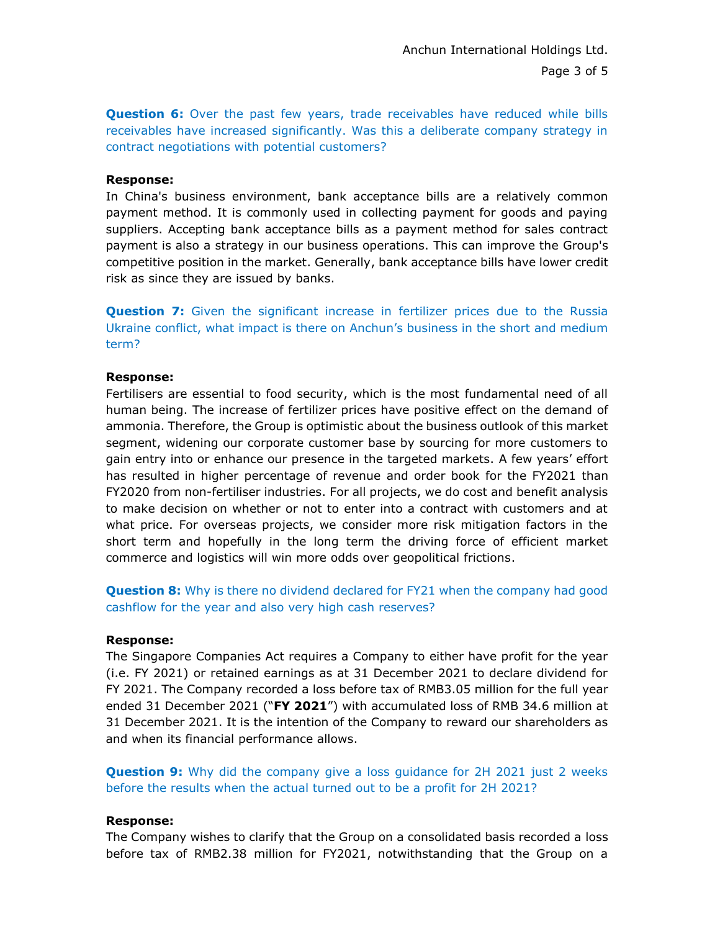**Question 6:** Over the past few years, trade receivables have reduced while bills receivables have increased significantly. Was this a deliberate company strategy in contract negotiations with potential customers?

### **Response:**

In China's business environment, bank acceptance bills are a relatively common payment method. It is commonly used in collecting payment for goods and paying suppliers. Accepting bank acceptance bills as a payment method for sales contract payment is also a strategy in our business operations. This can improve the Group's competitive position in the market. Generally, bank acceptance bills have lower credit risk as since they are issued by banks.

**Question 7:** Given the significant increase in fertilizer prices due to the Russia Ukraine conflict, what impact is there on Anchun's business in the short and medium term?

#### **Response:**

Fertilisers are essential to food security, which is the most fundamental need of all human being. The increase of fertilizer prices have positive effect on the demand of ammonia. Therefore, the Group is optimistic about the business outlook of this market segment, widening our corporate customer base by sourcing for more customers to gain entry into or enhance our presence in the targeted markets. A few years' effort has resulted in higher percentage of revenue and order book for the FY2021 than FY2020 from non-fertiliser industries. For all projects, we do cost and benefit analysis to make decision on whether or not to enter into a contract with customers and at what price. For overseas projects, we consider more risk mitigation factors in the short term and hopefully in the long term the driving force of efficient market commerce and logistics will win more odds over geopolitical frictions.

**Question 8:** Why is there no dividend declared for FY21 when the company had good cashflow for the year and also very high cash reserves?

### **Response:**

The Singapore Companies Act requires a Company to either have profit for the year (i.e. FY 2021) or retained earnings as at 31 December 2021 to declare dividend for FY 2021. The Company recorded a loss before tax of RMB3.05 million for the full year ended 31 December 2021 ("**FY 2021**") with accumulated loss of RMB 34.6 million at 31 December 2021. It is the intention of the Company to reward our shareholders as and when its financial performance allows.

**Question 9:** Why did the company give a loss guidance for 2H 2021 just 2 weeks before the results when the actual turned out to be a profit for 2H 2021?

### **Response:**

The Company wishes to clarify that the Group on a consolidated basis recorded a loss before tax of RMB2.38 million for FY2021, notwithstanding that the Group on a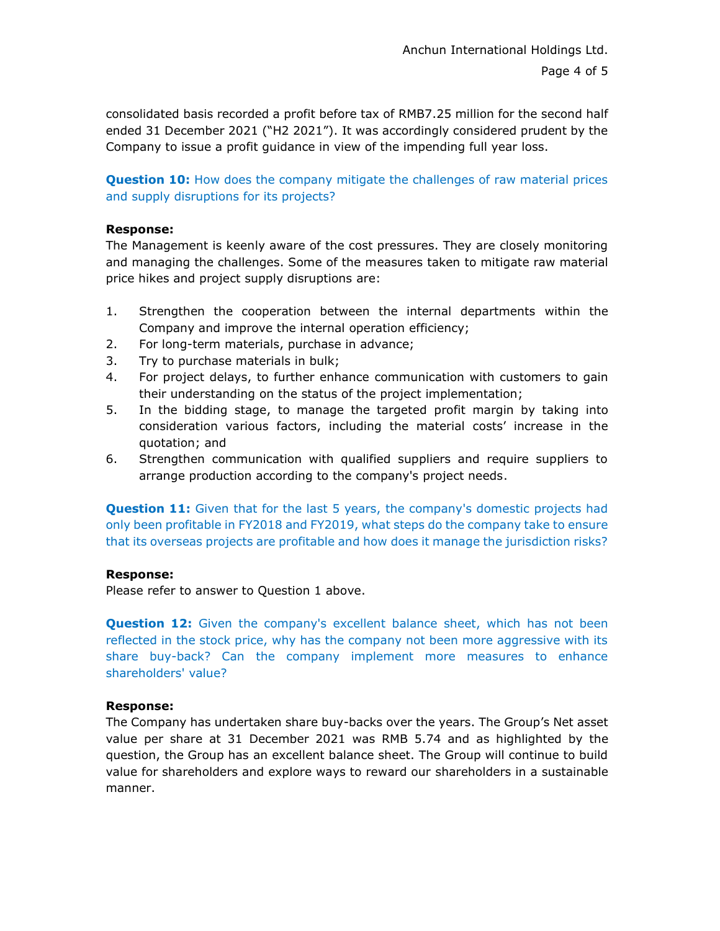consolidated basis recorded a profit before tax of RMB7.25 million for the second half ended 31 December 2021 ("H2 2021"). It was accordingly considered prudent by the Company to issue a profit guidance in view of the impending full year loss.

**Question 10:** How does the company mitigate the challenges of raw material prices and supply disruptions for its projects?

### **Response:**

The Management is keenly aware of the cost pressures. They are closely monitoring and managing the challenges. Some of the measures taken to mitigate raw material price hikes and project supply disruptions are:

- 1. Strengthen the cooperation between the internal departments within the Company and improve the internal operation efficiency;
- 2. For long-term materials, purchase in advance;
- 3. Try to purchase materials in bulk;
- 4. For project delays, to further enhance communication with customers to gain their understanding on the status of the project implementation;
- 5. In the bidding stage, to manage the targeted profit margin by taking into consideration various factors, including the material costs' increase in the quotation; and
- 6. Strengthen communication with qualified suppliers and require suppliers to arrange production according to the company's project needs.

**Question 11:** Given that for the last 5 years, the company's domestic projects had only been profitable in FY2018 and FY2019, what steps do the company take to ensure that its overseas projects are profitable and how does it manage the jurisdiction risks?

## **Response:**

Please refer to answer to Question 1 above.

**Question 12:** Given the company's excellent balance sheet, which has not been reflected in the stock price, why has the company not been more aggressive with its share buy-back? Can the company implement more measures to enhance shareholders' value?

## **Response:**

The Company has undertaken share buy-backs over the years. The Group's Net asset value per share at 31 December 2021 was RMB 5.74 and as highlighted by the question, the Group has an excellent balance sheet. The Group will continue to build value for shareholders and explore ways to reward our shareholders in a sustainable manner.